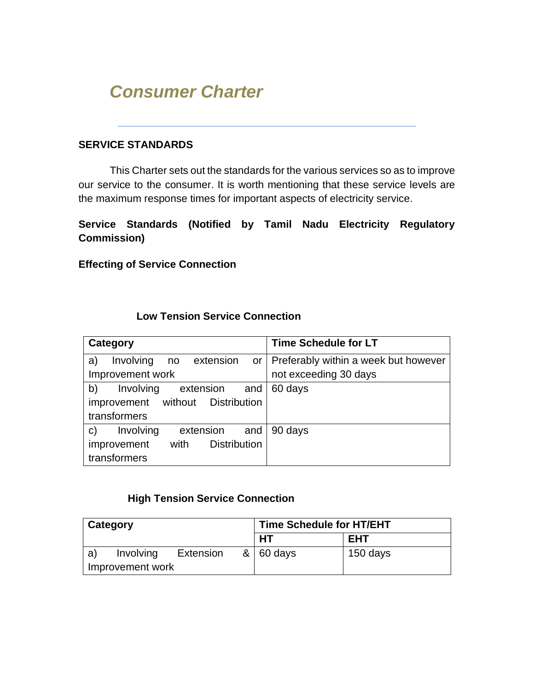# *Consumer Charter*

#### **SERVICE STANDARDS**

This Charter sets out the standards for the various services so as to improve our service to the consumer. It is worth mentioning that these service levels are the maximum response times for important aspects of electricity service.

**Service Standards (Notified by Tamil Nadu Electricity Regulatory Commission)** 

**Effecting of Service Connection**

# **Low Tension Service Connection**

| Category                                      | <b>Time Schedule for LT</b>               |
|-----------------------------------------------|-------------------------------------------|
| Involving<br>no extension<br>a)               | or   Preferably within a week but however |
| Improvement work                              | not exceeding 30 days                     |
| b)<br>Involving<br>extension<br>and           | 60 days                                   |
| improvement without Distribution              |                                           |
| transformers                                  |                                           |
| Involving<br>extension<br>and<br>$\mathsf{C}$ | 90 days                                   |
| <b>Distribution</b><br>improvement<br>with    |                                           |
| transformers                                  |                                           |

#### **High Tension Service Connection**

| Category         |                  |           | <b>Time Schedule for HT/EHT</b> |          |
|------------------|------------------|-----------|---------------------------------|----------|
|                  |                  |           | HT                              | EHT      |
| a)               | <b>Involving</b> | Extension | $8 \mid 60$ days                | 150 days |
| Improvement work |                  |           |                                 |          |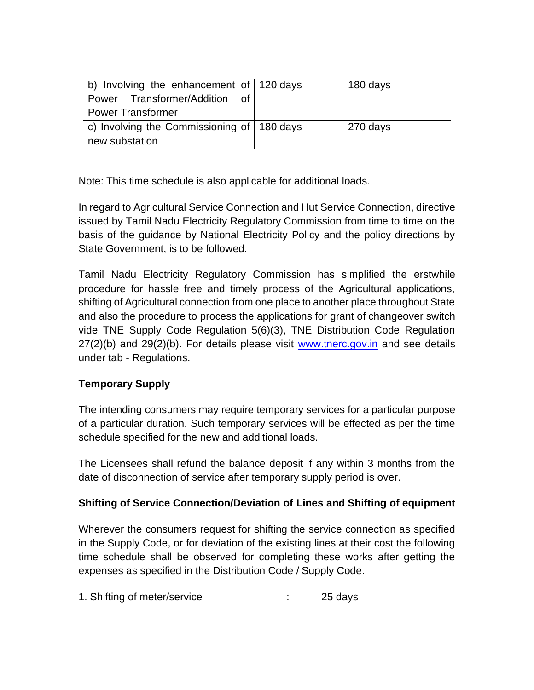| b) Involving the enhancement of 120 days<br>Power Transformer/Addition of |  | 180 days |
|---------------------------------------------------------------------------|--|----------|
| <b>Power Transformer</b>                                                  |  |          |
| $\vert$ c) Involving the Commissioning of $\vert$ 180 days                |  | 270 days |
| new substation                                                            |  |          |

Note: This time schedule is also applicable for additional loads.

In regard to Agricultural Service Connection and Hut Service Connection, directive issued by Tamil Nadu Electricity Regulatory Commission from time to time on the basis of the guidance by National Electricity Policy and the policy directions by State Government, is to be followed.

Tamil Nadu Electricity Regulatory Commission has simplified the erstwhile procedure for hassle free and timely process of the Agricultural applications, shifting of Agricultural connection from one place to another place throughout State and also the procedure to process the applications for grant of changeover switch vide TNE Supply Code Regulation 5(6)(3), TNE Distribution Code Regulation 27(2)(b) and 29(2)(b). For details please visit [www.tnerc.gov.in](http://www.tnerc.gov.in/) and see details under tab - Regulations.

# **Temporary Supply**

The intending consumers may require temporary services for a particular purpose of a particular duration. Such temporary services will be effected as per the time schedule specified for the new and additional loads.

The Licensees shall refund the balance deposit if any within 3 months from the date of disconnection of service after temporary supply period is over.

# **Shifting of Service Connection/Deviation of Lines and Shifting of equipment**

Wherever the consumers request for shifting the service connection as specified in the Supply Code, or for deviation of the existing lines at their cost the following time schedule shall be observed for completing these works after getting the expenses as specified in the Distribution Code / Supply Code.

1. Shifting of meter/service : 25 days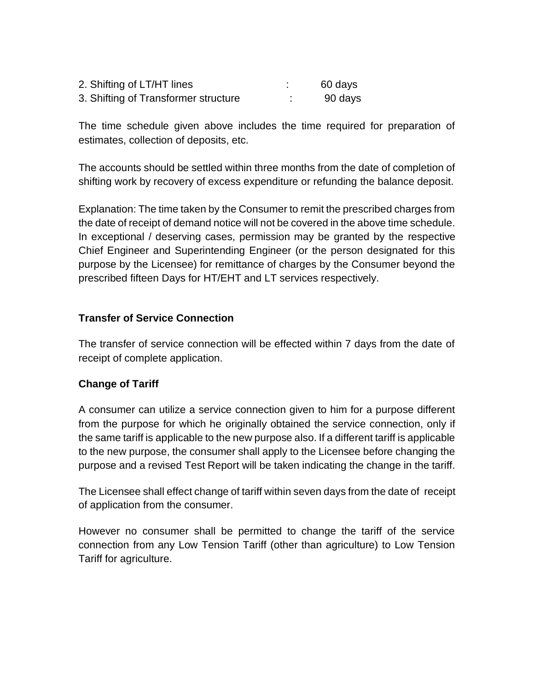| 2. Shifting of LT/HT lines           | 60 days |
|--------------------------------------|---------|
| 3. Shifting of Transformer structure | 90 days |

The time schedule given above includes the time required for preparation of estimates, collection of deposits, etc.

The accounts should be settled within three months from the date of completion of shifting work by recovery of excess expenditure or refunding the balance deposit.

Explanation: The time taken by the Consumer to remit the prescribed charges from the date of receipt of demand notice will not be covered in the above time schedule. In exceptional / deserving cases, permission may be granted by the respective Chief Engineer and Superintending Engineer (or the person designated for this purpose by the Licensee) for remittance of charges by the Consumer beyond the prescribed fifteen Days for HT/EHT and LT services respectively.

#### **Transfer of Service Connection**

The transfer of service connection will be effected within 7 days from the date of receipt of complete application.

#### **Change of Tariff**

A consumer can utilize a service connection given to him for a purpose different from the purpose for which he originally obtained the service connection, only if the same tariff is applicable to the new purpose also. If a different tariff is applicable to the new purpose, the consumer shall apply to the Licensee before changing the purpose and a revised Test Report will be taken indicating the change in the tariff.

The Licensee shall effect change of tariff within seven days from the date of receipt of application from the consumer.

However no consumer shall be permitted to change the tariff of the service connection from any Low Tension Tariff (other than agriculture) to Low Tension Tariff for agriculture.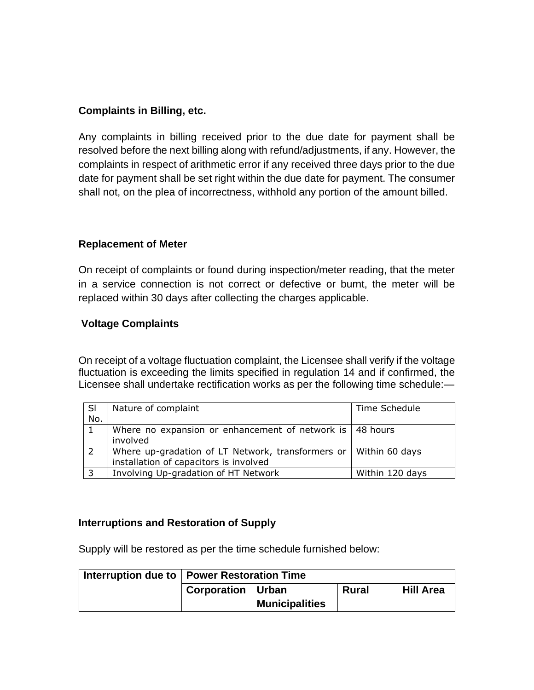#### **Complaints in Billing, etc.**

Any complaints in billing received prior to the due date for payment shall be resolved before the next billing along with refund/adjustments, if any. However, the complaints in respect of arithmetic error if any received three days prior to the due date for payment shall be set right within the due date for payment. The consumer shall not, on the plea of incorrectness, withhold any portion of the amount billed.

#### **Replacement of Meter**

On receipt of complaints or found during inspection/meter reading, that the meter in a service connection is not correct or defective or burnt, the meter will be replaced within 30 days after collecting the charges applicable.

#### **Voltage Complaints**

On receipt of a voltage fluctuation complaint, the Licensee shall verify if the voltage fluctuation is exceeding the limits specified in regulation 14 and if confirmed, the Licensee shall undertake rectification works as per the following time schedule:—

| SI                       | Nature of complaint                                                                                                | Time Schedule   |
|--------------------------|--------------------------------------------------------------------------------------------------------------------|-----------------|
| No.                      |                                                                                                                    |                 |
|                          | Where no expansion or enhancement of network is $\vert$ 48 hours<br>involved                                       |                 |
|                          | Where up-gradation of LT Network, transformers or $\vert$ Within 60 days<br>installation of capacitors is involved |                 |
| $\overline{\phantom{0}}$ | Involving Up-gradation of HT Network                                                                               | Within 120 days |

#### **Interruptions and Restoration of Supply**

Supply will be restored as per the time schedule furnished below:

| Interruption due to   Power Restoration Time |                       |              |                  |
|----------------------------------------------|-----------------------|--------------|------------------|
| Corporation   Urban                          |                       | <b>Rural</b> | <b>Hill Area</b> |
|                                              | <b>Municipalities</b> |              |                  |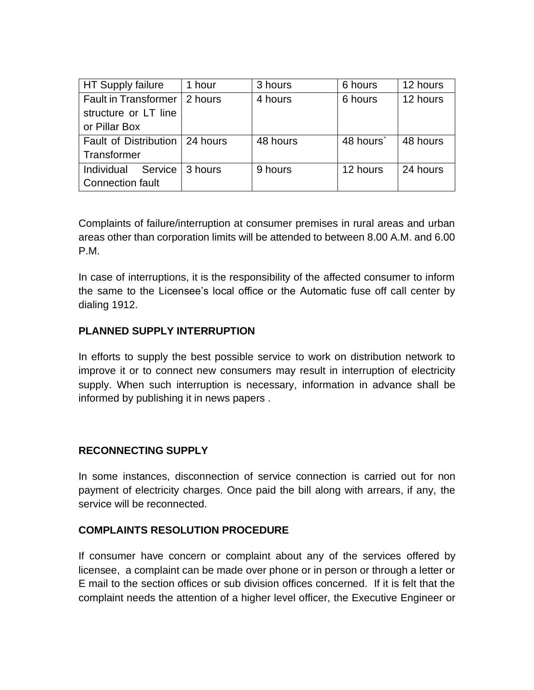| HT Supply failure                | 1 hour  | 3 hours  | 6 hours  | 12 hours |
|----------------------------------|---------|----------|----------|----------|
| <b>Fault in Transformer</b>      | 2 hours | 4 hours  | 6 hours  | 12 hours |
| structure or LT line             |         |          |          |          |
| or Pillar Box                    |         |          |          |          |
| Fault of Distribution   24 hours |         | 48 hours | 48 hours | 48 hours |
| Transformer                      |         |          |          |          |
| Individual<br>Service            | 3 hours | 9 hours  | 12 hours | 24 hours |
| Connection fault                 |         |          |          |          |

Complaints of failure/interruption at consumer premises in rural areas and urban areas other than corporation limits will be attended to between 8.00 A.M. and 6.00 P.M.

In case of interruptions, it is the responsibility of the affected consumer to inform the same to the Licensee's local office or the Automatic fuse off call center by dialing 1912.

### **PLANNED SUPPLY INTERRUPTION**

In efforts to supply the best possible service to work on distribution network to improve it or to connect new consumers may result in interruption of electricity supply. When such interruption is necessary, information in advance shall be informed by publishing it in news papers .

#### **RECONNECTING SUPPLY**

In some instances, disconnection of service connection is carried out for non payment of electricity charges. Once paid the bill along with arrears, if any, the service will be reconnected.

#### **COMPLAINTS RESOLUTION PROCEDURE**

If consumer have concern or complaint about any of the services offered by licensee, a complaint can be made over phone or in person or through a letter or E mail to the section offices or sub division offices concerned. If it is felt that the complaint needs the attention of a higher level officer, the Executive Engineer or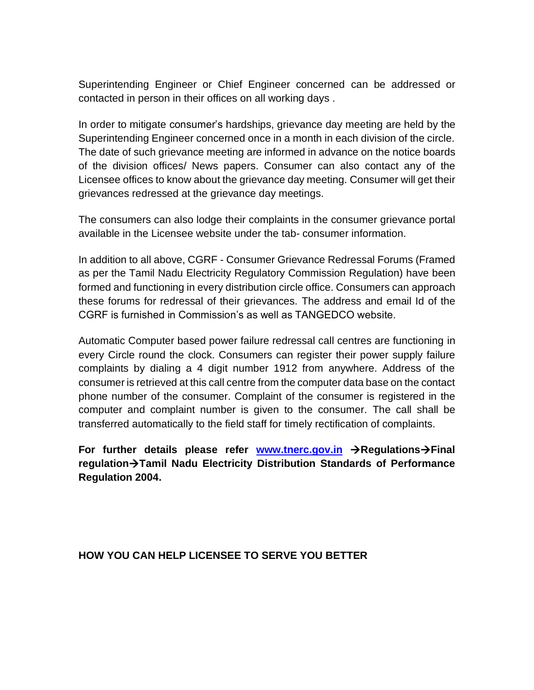Superintending Engineer or Chief Engineer concerned can be addressed or contacted in person in their offices on all working days .

In order to mitigate consumer's hardships, grievance day meeting are held by the Superintending Engineer concerned once in a month in each division of the circle. The date of such grievance meeting are informed in advance on the notice boards of the division offices/ News papers. Consumer can also contact any of the Licensee offices to know about the grievance day meeting. Consumer will get their grievances redressed at the grievance day meetings.

The consumers can also lodge their complaints in the consumer grievance portal available in the Licensee website under the tab- consumer information.

In addition to all above, CGRF - Consumer Grievance Redressal Forums (Framed as per the Tamil Nadu Electricity Regulatory Commission Regulation) have been formed and functioning in every distribution circle office. Consumers can approach these forums for redressal of their grievances. The address and email Id of the CGRF is furnished in Commission's as well as TANGEDCO website.

Automatic Computer based power failure redressal call centres are functioning in every Circle round the clock. Consumers can register their power supply failure complaints by dialing a 4 digit number 1912 from anywhere. Address of the consumer is retrieved at this call centre from the computer data base on the contact phone number of the consumer. Complaint of the consumer is registered in the computer and complaint number is given to the consumer. The call shall be transferred automatically to the field staff for timely rectification of complaints.

**For further details please refer [www.tnerc.gov.in](http://www.tnerc.gov.in/)** →**Regulations**→**Final regulation**→**Tamil Nadu Electricity Distribution Standards of Performance Regulation 2004.**

#### **HOW YOU CAN HELP LICENSEE TO SERVE YOU BETTER**